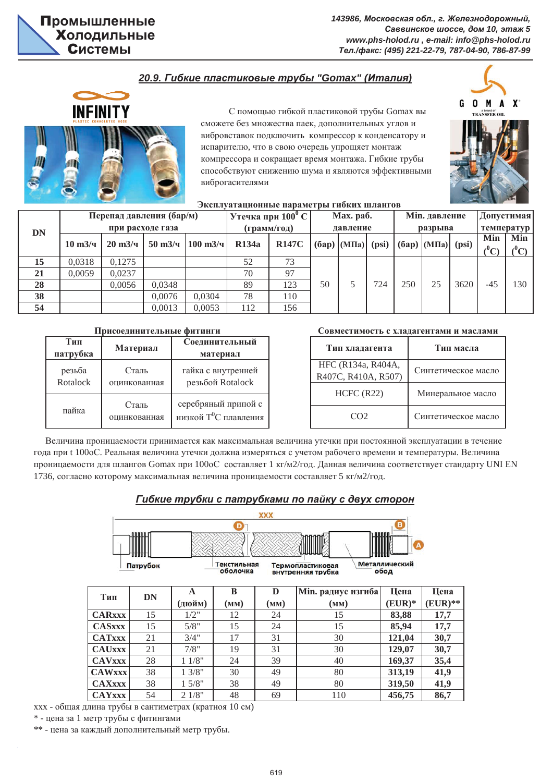$143986$ , Московская обл., г. Железнодорожный,  $Ca$ ввинское шоссе, дом 10, этаж 5 *www.phs-holod.ru , e-mail: info@phs-holod.ru Ɍɟɥ./ɮɚɤɫ: (495) 221-22-79, 787-04-90, 786-87-99*

# $20.9.$  Гибкие пластиковые трубы "Gomax" (Италия)



С помощью гибкой пластиковой трубы Gomax вы сможете без множества паек, дополнительных углов и вибровставок подключить компрессор к конденсатору и испарителю, что в свою очередь упрощяет монтаж компрессора и сокрашает время монтажа. Гибкие трубы способствуют снижению шума и являются эффективными виброгасителями



| $\sim$ $\sim$ $\sim$ $\sim$ $\sim$ $\sim$ $\sim$ $\sim$<br>Эксплуатационные параметры гибких шлангов |                     |                          |                              |                                    |                        |              |         |                |            |            |                            |      |             |             |
|------------------------------------------------------------------------------------------------------|---------------------|--------------------------|------------------------------|------------------------------------|------------------------|--------------|---------|----------------|------------|------------|----------------------------|------|-------------|-------------|
| DN                                                                                                   |                     | Перепад давления (бар/м) | $ $ Утечка при $100^0$ С $ $ |                                    | Max. pa <sub>6</sub> . |              |         | Min. давление  | Допустимая |            |                            |      |             |             |
|                                                                                                      |                     | при расходе газа         | (грамм/год)                  | давление                           |                        |              | разрыва |                |            | температур |                            |      |             |             |
|                                                                                                      |                     |                          |                              | $50 \text{ m}^3$ /4   100 m $3$ /4 |                        |              |         |                | (psi)      |            | $(6ap)$ $(M\Pi a)$ $(psi)$ |      | Min         | Min         |
|                                                                                                      | $10 \text{ m}^3$ /4 | $20 \text{ m}^3$ /4      |                              |                                    | <b>R134a</b>           | <b>R147C</b> |         | $(6ap)$ (MIIa) |            |            |                            |      | $\ell^0$ C) | $\ell^0$ C) |
| 15                                                                                                   | 0,0318              | 0.1275                   |                              |                                    | 52                     | 73           |         |                |            |            |                            |      |             |             |
| 21                                                                                                   | 0.0059              | 0.0237                   |                              |                                    | 70                     | 97           |         |                |            |            |                            |      |             |             |
| 28                                                                                                   |                     | 0.0056                   | 0.0348                       |                                    | 89                     | 123          | 50      |                | 724        | 250        | 25                         | 3620 | $-4.5$      | 130         |
| 38                                                                                                   |                     |                          | 0.0076                       | 0.0304                             | 78                     | 110          |         |                |            |            |                            |      |             |             |
| 54                                                                                                   |                     |                          | 0.0013                       | 0.0053                             | 112                    | 156          |         |                |            |            |                            |      |             |             |

| Тип<br>патрубка    | Материал              | Соединительный<br>материал                               |  |  |  |  |
|--------------------|-----------------------|----------------------------------------------------------|--|--|--|--|
| резьба<br>Rotalock | Сталь<br>оцинкованная | гайка с внутренней<br>резьбой Rotalock                   |  |  |  |  |
| пайка              | Сталь<br>оцинкованная | серебряный припой с<br>низкой Т <sup>0</sup> С плавления |  |  |  |  |

### Присоелинительные фитинги и поставлять совместимость с хлалагентами и маслами

| Тип хладагента                            | Тип масла           |  |  |  |  |
|-------------------------------------------|---------------------|--|--|--|--|
| HFC (R134a, R404A,<br>R407C, R410A, R507) | Синтетическое масло |  |  |  |  |
| HCFC (R22)                                | Минеральное масло   |  |  |  |  |
| CO <sub>2</sub>                           | Синтетическое масло |  |  |  |  |

Величина проницаемости принимается как максимальная величина утечки при постоянной эксплуатации в течение года при t 100oC. Реальная величина утечки должна измеряться с учетом рабочего времени и температуры. Величина проницаемости для шлангов Gomax при 100оС составляет 1 кг/м2/год. Данная величина соответствует стандарту UNI EN 1736, согласно которому максимальная величина проницаемости составляет 5 кг/м2/год.

## **Гибкие трубки с патрубками по пайку с двух сторон**



ххх - общая длина трубы в сантиметрах (кратноя 10 см)

 $*$  - цена за 1 метр трубы с фитингами

\*\* - цена за каждый дополнительный метр трубы.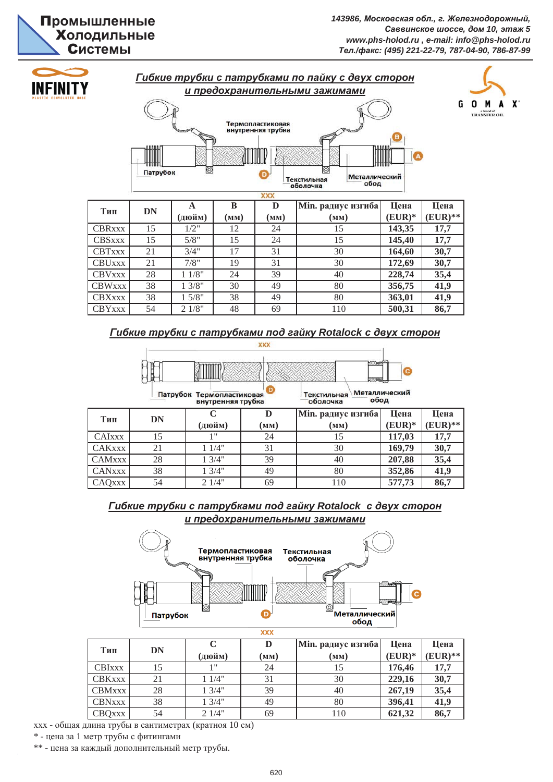# **Промышленные Жолодильные Системы**

**500,31 86,7**

**363,01** 41,9



# $I$ <del>*Гибкие трубки с патрубками под гайку Rotalock с двух сторон*</del>

CBYxxx 54 2 1/8" 48 69 110

CBXxxx 38 1 5/8" 38 49 80

|                                                                                                         |    |                   | <b>XXX</b>               |                           |          |            |  |  |  |  |  |
|---------------------------------------------------------------------------------------------------------|----|-------------------|--------------------------|---------------------------|----------|------------|--|--|--|--|--|
|                                                                                                         |    | <b>ДИНИТИТИ</b>   |                          | <b>KONSEPT</b><br>2000000 |          |            |  |  |  |  |  |
| റ<br>Металлический<br>Патрубок Термопластиковая<br>Текстильная<br>обод<br>оболочка<br>внутренняя трубка |    |                   |                          |                           |          |            |  |  |  |  |  |
|                                                                                                         |    | $\mathsf{\Gamma}$ | D                        | Min. радиус изгиба        | Цена     | Цена       |  |  |  |  |  |
| Тип                                                                                                     | DN | (дюйм)            | $(\mathbf{M}\mathbf{M})$ | (MM)                      | $(EUR)*$ | $(EUR)$ ** |  |  |  |  |  |
| <b>CAIXXX</b>                                                                                           | 15 | 1"                | 24                       | 15                        | 117,03   | 17,7       |  |  |  |  |  |
| <b>CAKxxx</b>                                                                                           | 21 | 11/4"             | 31                       | 30                        | 169,79   | 30,7       |  |  |  |  |  |
| <b>CAMxxx</b>                                                                                           | 28 | 13/4"             | 39                       | 40                        | 207,88   | 35,4       |  |  |  |  |  |
| <b>CANxxx</b>                                                                                           | 38 | 13/4"             | 49                       | 80                        | 352,86   | 41,9       |  |  |  |  |  |
| CAQXXX                                                                                                  | 54 | 21/4"             | 69                       | 110                       | 577,73   | 86,7       |  |  |  |  |  |

## **и** предохранительными зажимами  $I$ <del> *Гибкие трубки с патрубками под гайку Rotalock с двух сторон*</del>



| Тип           | DN | (дюйм) | D<br>(мм) | <b>Min. радиус изгиба</b><br>(MM) | Цена<br>$(EUR)*$ | Цена<br>$EUR)$ ** |
|---------------|----|--------|-----------|-----------------------------------|------------------|-------------------|
| <b>CBIXXX</b> | 15 | 1 11   | 24        | 15                                | 176,46           | 17.7              |
| CBKxxx        | 21 | 11/4"  | 31        | 30                                | 229,16           | 30,7              |
| <b>CBMxxx</b> | 28 | 13/4"  | 39        | 40                                | 267,19           | 35,4              |
| <b>CBNxxx</b> | 38 | 13/4"  | 49        | 80                                | 396,41           | 41,9              |
| CBQXXX        | 54 | 21/4"  | 69        | 110                               | 621,32           | 86,7              |

ххх - общая длина трубы в сантиметрах (кратноя 10 см)

 $*$  - цена за 1 метр трубы с фитингами

\*\* - цена за каждый дополнительный метр трубы.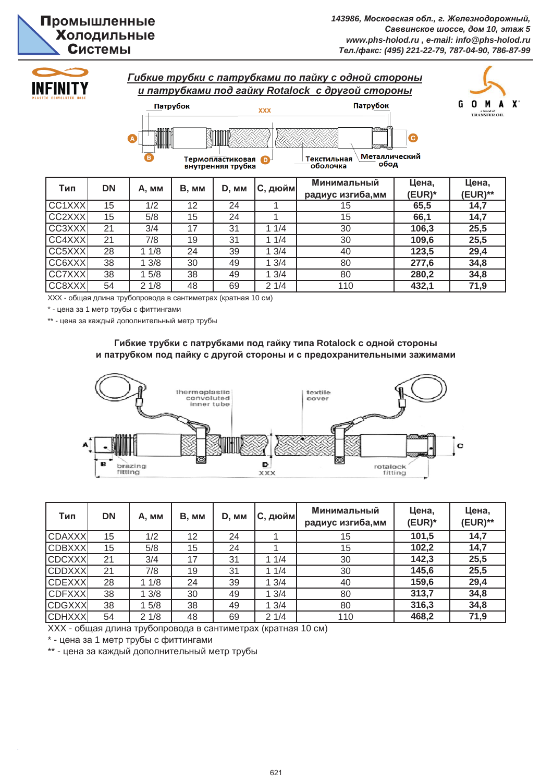

**71,9**

**280,2 34,8**



XXX - общая длина трубопровода в сантиметрах (кратная 10 см)

\* - цена за 1 метр трубы с фиттингами

\*\* - цена за каждый дополнительный метр трубы

## Гибкие трубки с патрубками под гайку типа Rotalock с одной стороны и патрубком под пайку с другой стороны и с предохранительными зажимами

ɋɋ8XXX 54 2 1/8 48 69 2 1/4 110 **432,1**

CC7XXX 38 1 5/8 38 49 1 3/4 80



| Тип           | <b>DN</b> | A, MM | B, MM | D, MM | С, дюйм | Минимальный<br>радиус изгиба,мм | Цена,<br>$(EUR)^*$ | Цена,<br>(EUR)** |
|---------------|-----------|-------|-------|-------|---------|---------------------------------|--------------------|------------------|
| <b>CDAXXX</b> | 15        | 1/2   | 12    | 24    |         | 15                              | 101,5              | 14,7             |
| <b>CDBXXX</b> | 15        | 5/8   | 15    | 24    |         | 15                              | 102,2              | 14,7             |
| <b>CDCXXX</b> | 21        | 3/4   | 17    | 31    | 11/4    | 30                              | 142,3              | 25,5             |
| <b>CDDXXX</b> | 21        | 7/8   | 19    | 31    | 11/4    | 30                              | 145,6              | 25,5             |
| <b>CDEXXX</b> | 28        | 11/8  | 24    | 39    | 13/4    | 40                              | 159,6              | 29,4             |
| <b>CDFXXX</b> | 38        | 13/8  | 30    | 49    | 13/4    | 80                              | 313,7              | 34,8             |
| <b>CDGXXX</b> | 38        | 15/8  | 38    | 49    | 13/4    | 80                              | 316,3              | 34,8             |
| <b>CDHXXX</b> | 54        | 21/8  | 48    | 69    | 21/4    | 110                             | 468,2              | 71,9             |

XXX - общая длина трубопровода в сантиметрах (кратная 10 см)

\* - цена за 1 метр трубы с фиттингами

\*\* - цена за каждый дополнительный метр трубы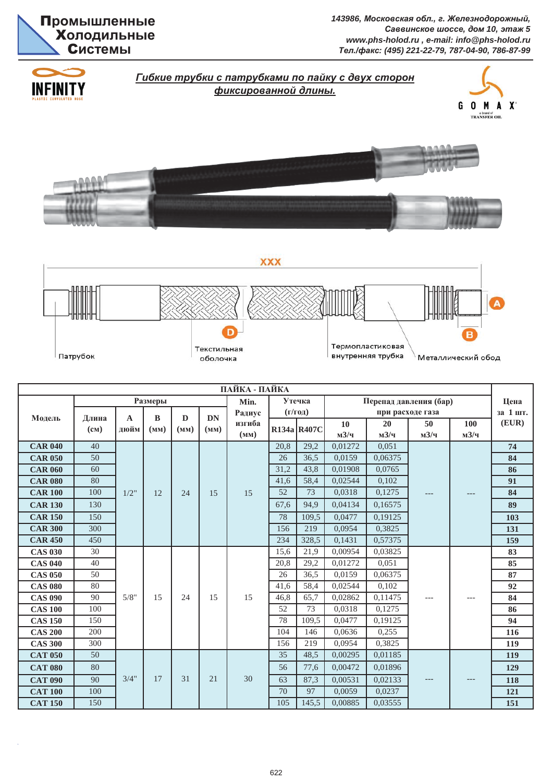

 $143986$ , Московская обл., г. Железнодорожный,  $Ca$ ввинское шоссе, дом 10, этаж 5 *www.phs-holod.ru , e-mail: info@phs-holod.ru Ɍɟɥ./ɮɚɤɫ: (495) 221-22-79, 787-04-90, 786-87-99*



| ПАЙКА - ПАЙКА  |           |              |          |      |           |        |                      |                                  |         |         |                  |         |          |     |  |    |
|----------------|-----------|--------------|----------|------|-----------|--------|----------------------|----------------------------------|---------|---------|------------------|---------|----------|-----|--|----|
|                |           |              |          | Min. | Утечка    |        |                      | Перепад давления (бар)           | Цена    |         |                  |         |          |     |  |    |
| Модель         | Длина     | $\mathbf{A}$ | $\bf{B}$ | D    | <b>DN</b> | Радиус | $(\Gamma/\Gamma$ од) |                                  |         |         | при расходе газа |         | за 1 шт. |     |  |    |
|                | $(c_{M})$ | дюйм         | (MM)     | (MM) | (MM)      | изгиба |                      | R134a R407C                      | 10      | 20      | 50               | 100     | (EUR)    |     |  |    |
|                |           |              |          |      |           | (MM)   |                      |                                  | M3/q    | M3/4    | M3/4             | M3/4    |          |     |  |    |
| <b>CAR 040</b> | 40        |              |          |      |           |        | 20,8                 | 29,2                             | 0,01272 | 0,051   |                  |         | 74       |     |  |    |
| <b>CAR 050</b> | 50        |              |          |      |           |        | 26                   | 36.5                             | 0.0159  | 0,06375 |                  |         | 84       |     |  |    |
| <b>CAR 060</b> | 60        |              |          |      |           |        | 31,2                 | 43,8                             | 0,01908 | 0,0765  |                  |         | 86       |     |  |    |
| <b>CAR 080</b> | 80        |              |          |      |           |        | 41,6                 | 58,4                             | 0,02544 | 0,102   |                  |         | 91       |     |  |    |
| <b>CAR 100</b> | 100       | 1/2"         | 12       | 24   | 15        | 15     | 52                   | 73                               | 0,0318  | 0,1275  | ---              |         | 84       |     |  |    |
| <b>CAR 130</b> | 130       |              |          |      |           |        | 67,6                 | 94.9                             | 0.04134 | 0,16575 |                  |         | 89       |     |  |    |
| <b>CAR 150</b> | 150       |              |          |      |           |        |                      | 78                               | 109.5   | 0,0477  | 0,19125          |         |          | 103 |  |    |
| <b>CAR 300</b> | 300       |              |          |      |           |        | 156                  | 219                              | 0,0954  | 0,3825  |                  |         | 131      |     |  |    |
| <b>CAR 450</b> | 450       |              |          |      |           |        | 234                  | 328,5                            | 0,1431  | 0,57375 |                  |         | 159      |     |  |    |
| <b>CAS 030</b> | 30        |              |          |      |           | 15     | 15,6                 | 21,9                             | 0,00954 | 0,03825 |                  |         | 83       |     |  |    |
| <b>CAS 040</b> | 40        |              |          |      |           |        |                      | 0,01272<br>29,2<br>0,051<br>20,8 |         | 85      |                  |         |          |     |  |    |
| <b>CAS 050</b> | 50        |              |          |      |           |        | 26                   | 36,5                             | 0,0159  | 0,06375 |                  |         | 87       |     |  |    |
| <b>CAS 080</b> | 80        |              |          |      |           |        |                      |                                  |         | 41.6    | 58,4             | 0,02544 | 0.102    |     |  | 92 |
| <b>CAS 090</b> | 90        | 5/8"         | 15       | 24   | 15        |        | 46,8                 | 65,7                             | 0,02862 | 0,11475 | ---              | $---$   | 84       |     |  |    |
| <b>CAS 100</b> | 100       |              |          |      |           |        | 52                   | 73                               | 0.0318  | 0,1275  |                  |         | 86       |     |  |    |
| <b>CAS 150</b> | 150       |              |          |      |           |        | 78                   | 109,5                            | 0.0477  | 0,19125 |                  |         | 94       |     |  |    |
| <b>CAS 200</b> | 200       |              |          |      |           |        | 104                  | 146                              | 0.0636  | 0,255   |                  |         | 116      |     |  |    |
| <b>CAS 300</b> | 300       |              |          |      |           |        | 156                  | 219                              | 0,0954  | 0,3825  |                  |         | 119      |     |  |    |
| <b>CAT 050</b> | 50        |              |          |      |           |        | 35                   | 48.5                             | 0.00295 | 0,01185 |                  |         | 119      |     |  |    |
| <b>CAT 080</b> | 80        |              |          |      |           |        | 56                   | 77,6                             | 0,00472 | 0,01896 |                  |         | 129      |     |  |    |
| <b>CAT 090</b> | 90        | 3/4"         | 17       | 31   | 21        | 30     | 63                   | 87,3                             | 0,00531 | 0,02133 |                  |         | 118      |     |  |    |
| <b>CAT 100</b> | 100       |              |          |      |           |        | 70                   | 97                               | 0.0059  | 0,0237  |                  |         | 121      |     |  |    |
| <b>CAT 150</b> | 150       |              |          |      |           |        | 105                  | 145,5                            | 0,00885 | 0,03555 |                  |         | 151      |     |  |    |